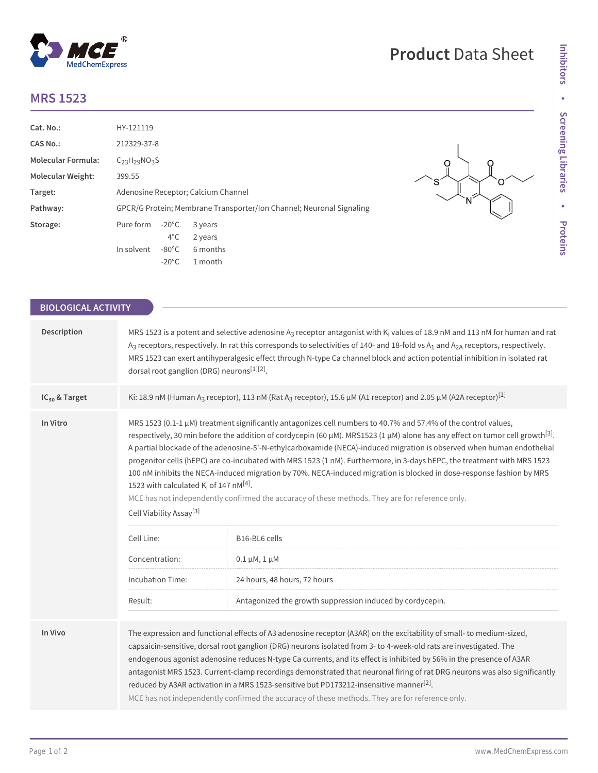## **MRS 1523**

 $^{\circledR}$ 

MedChemExpress

| Cat. No.:                | HY-121119                                                            |                 |          |  |
|--------------------------|----------------------------------------------------------------------|-----------------|----------|--|
| CAS No.:                 | 212329-37-8                                                          |                 |          |  |
| Molecular Formula:       | $C_{23}H_{29}NO_{3}S$                                                |                 |          |  |
| <b>Molecular Weight:</b> | 399.55                                                               |                 |          |  |
| Target:                  | Adenosine Receptor; Calcium Channel                                  |                 |          |  |
| Pathway:                 | GPCR/G Protein; Membrane Transporter/Ion Channel; Neuronal Signaling |                 |          |  |
| Storage:                 | Pure form                                                            | $-20^{\circ}$ C | 3 years  |  |
|                          |                                                                      | $4^{\circ}$ C   | 2 years  |  |
|                          | In solvent                                                           | $-80^{\circ}$ C | 6 months |  |
|                          |                                                                      | $-20^{\circ}$ C | 1 month  |  |

## $\circ$ Ω S O N

**Product** Data Sheet

| <b>BIOLOGICAL ACTIVITY</b> |                                                                                                                                                                                                                                                                                                                                                                                                                                                                                                                                                                                                                                                                                                                                                                                                                                                           |                                                           |  |  |
|----------------------------|-----------------------------------------------------------------------------------------------------------------------------------------------------------------------------------------------------------------------------------------------------------------------------------------------------------------------------------------------------------------------------------------------------------------------------------------------------------------------------------------------------------------------------------------------------------------------------------------------------------------------------------------------------------------------------------------------------------------------------------------------------------------------------------------------------------------------------------------------------------|-----------------------------------------------------------|--|--|
| Description                | MRS 1523 is a potent and selective adenosine $A_3$ receptor antagonist with $K_i$ values of 18.9 nM and 113 nM for human and rat<br>A <sub>3</sub> receptors, respectively. In rat this corresponds to selectivities of 140- and 18-fold vs A <sub>1</sub> and A <sub>2A</sub> receptors, respectively.<br>MRS 1523 can exert antihyperalgesic effect through N-type Ca channel block and action potential inhibition in isolated rat<br>dorsal root ganglion (DRG) neurons <sup>[1][2]</sup> .                                                                                                                                                                                                                                                                                                                                                           |                                                           |  |  |
| IC <sub>50</sub> & Target  | Ki: 18.9 nM (Human A <sub>3</sub> receptor), 113 nM (Rat A <sub>3</sub> receptor), 15.6 µM (A1 receptor) and 2.05 µM (A2A receptor) <sup>[1]</sup>                                                                                                                                                                                                                                                                                                                                                                                                                                                                                                                                                                                                                                                                                                        |                                                           |  |  |
| In Vitro                   | MRS 1523 (0.1-1 $\mu$ M) treatment significantly antagonizes cell numbers to 40.7% and 57.4% of the control values,<br>respectively, 30 min before the addition of cordycepin (60 $\mu$ M). MRS1523 (1 $\mu$ M) alone has any effect on tumor cell growth <sup>[3]</sup> .<br>A partial blockade of the adenosine-5'-N-ethylcarboxamide (NECA)-induced migration is observed when human endothelial<br>progenitor cells (hEPC) are co-incubated with MRS 1523 (1 nM). Furthermore, in 3-days hEPC, the treatment with MRS 1523<br>100 nM inhibits the NECA-induced migration by 70%. NECA-induced migration is blocked in dose-response fashion by MRS<br>1523 with calculated $K_i$ of 147 nM <sup>[4]</sup> .<br>MCE has not independently confirmed the accuracy of these methods. They are for reference only.<br>Cell Viability Assay <sup>[3]</sup> |                                                           |  |  |
|                            | Cell Line:                                                                                                                                                                                                                                                                                                                                                                                                                                                                                                                                                                                                                                                                                                                                                                                                                                                | B16-BL6 cells                                             |  |  |
|                            | Concentration:                                                                                                                                                                                                                                                                                                                                                                                                                                                                                                                                                                                                                                                                                                                                                                                                                                            | $0.1 \mu M, 1 \mu M$                                      |  |  |
|                            | <b>Incubation Time:</b>                                                                                                                                                                                                                                                                                                                                                                                                                                                                                                                                                                                                                                                                                                                                                                                                                                   | 24 hours, 48 hours, 72 hours                              |  |  |
|                            | Result:                                                                                                                                                                                                                                                                                                                                                                                                                                                                                                                                                                                                                                                                                                                                                                                                                                                   | Antagonized the growth suppression induced by cordycepin. |  |  |
| In Vivo                    | The expression and functional effects of A3 adenosine receptor (A3AR) on the excitability of small-to medium-sized,<br>capsaicin-sensitive, dorsal root ganglion (DRG) neurons isolated from 3- to 4-week-old rats are investigated. The<br>endogenous agonist adenosine reduces N-type Ca currents, and its effect is inhibited by 56% in the presence of A3AR<br>antagonist MRS 1523. Current-clamp recordings demonstrated that neuronal firing of rat DRG neurons was also significantly<br>reduced by A3AR activation in a MRS 1523-sensitive but PD173212-insensitive manner <sup>[2]</sup> .<br>MCE has not independently confirmed the accuracy of these methods. They are for reference only.                                                                                                                                                    |                                                           |  |  |
|                            |                                                                                                                                                                                                                                                                                                                                                                                                                                                                                                                                                                                                                                                                                                                                                                                                                                                           |                                                           |  |  |